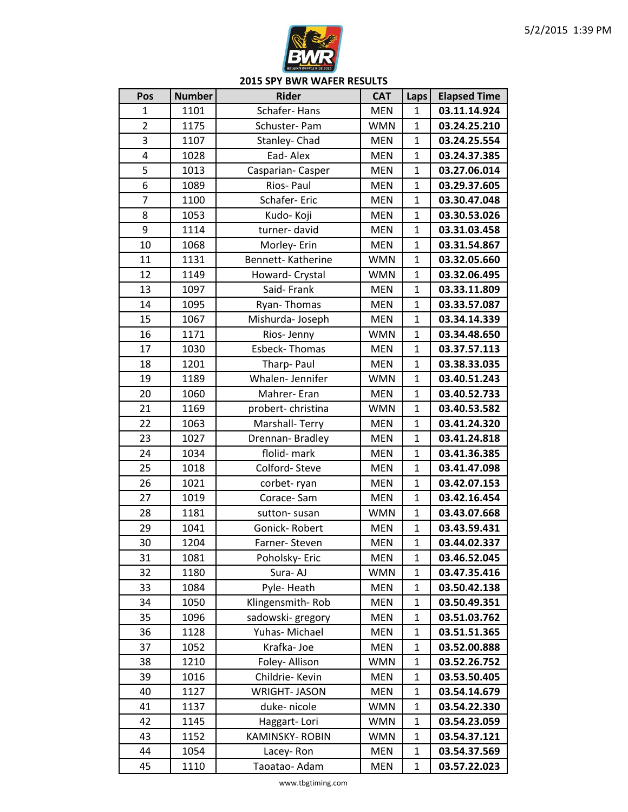

| Pos            | <b>Number</b> | <b>Rider</b>         | <b>CAT</b> | Laps         | <b>Elapsed Time</b> |
|----------------|---------------|----------------------|------------|--------------|---------------------|
| $\mathbf{1}$   | 1101          | Schafer-Hans         | <b>MEN</b> | 1            | 03.11.14.924        |
| $\overline{2}$ | 1175          | Schuster-Pam         | <b>WMN</b> | $\mathbf{1}$ | 03.24.25.210        |
| 3              | 1107          | Stanley-Chad         | <b>MEN</b> | $\mathbf{1}$ | 03.24.25.554        |
| 4              | 1028          | Ead-Alex             | <b>MEN</b> | $\mathbf{1}$ | 03.24.37.385        |
| 5              | 1013          | Casparian-Casper     | <b>MEN</b> | $\mathbf{1}$ | 03.27.06.014        |
| 6              | 1089          | Rios-Paul            | <b>MEN</b> | $\mathbf{1}$ | 03.29.37.605        |
| $\overline{7}$ | 1100          | Schafer-Eric         | <b>MEN</b> | $\mathbf{1}$ | 03.30.47.048        |
| 8              | 1053          | Kudo- Koji           | <b>MEN</b> | $\mathbf{1}$ | 03.30.53.026        |
| 9              | 1114          | turner-david         | <b>MEN</b> | $\mathbf{1}$ | 03.31.03.458        |
| 10             | 1068          | Morley- Erin         | <b>MEN</b> | $\mathbf{1}$ | 03.31.54.867        |
| 11             | 1131          | Bennett-Katherine    | <b>WMN</b> | $\mathbf{1}$ | 03.32.05.660        |
| 12             | 1149          | Howard- Crystal      | <b>WMN</b> | $\mathbf{1}$ | 03.32.06.495        |
| 13             | 1097          | Said-Frank           | <b>MEN</b> | $\mathbf{1}$ | 03.33.11.809        |
| 14             | 1095          | Ryan-Thomas          | <b>MEN</b> | $\mathbf{1}$ | 03.33.57.087        |
| 15             | 1067          | Mishurda-Joseph      | <b>MEN</b> | $\mathbf{1}$ | 03.34.14.339        |
| 16             | 1171          | Rios-Jenny           | <b>WMN</b> | $\mathbf{1}$ | 03.34.48.650        |
| 17             | 1030          | <b>Esbeck-Thomas</b> | <b>MEN</b> | $\mathbf{1}$ | 03.37.57.113        |
| 18             | 1201          | Tharp-Paul           | <b>MEN</b> | $\mathbf{1}$ | 03.38.33.035        |
| 19             | 1189          | Whalen-Jennifer      | <b>WMN</b> | $\mathbf{1}$ | 03.40.51.243        |
| 20             | 1060          | Mahrer-Eran          | <b>MEN</b> | $\mathbf{1}$ | 03.40.52.733        |
| 21             | 1169          | probert-christina    | <b>WMN</b> | $\mathbf{1}$ | 03.40.53.582        |
| 22             | 1063          | Marshall-Terry       | <b>MEN</b> | $\mathbf{1}$ | 03.41.24.320        |
| 23             | 1027          | Drennan-Bradley      | <b>MEN</b> | $\mathbf{1}$ | 03.41.24.818        |
| 24             | 1034          | flolid- mark         | <b>MEN</b> | $\mathbf{1}$ | 03.41.36.385        |
| 25             | 1018          | Colford-Steve        | <b>MEN</b> | $\mathbf{1}$ | 03.41.47.098        |
| 26             | 1021          | corbet-ryan          | <b>MEN</b> | $\mathbf{1}$ | 03.42.07.153        |
| 27             | 1019          | Corace-Sam           | <b>MEN</b> | $\mathbf{1}$ | 03.42.16.454        |
| 28             | 1181          | sutton-susan         | <b>WMN</b> | $\mathbf{1}$ | 03.43.07.668        |
| 29             | 1041          | Gonick-Robert        | <b>MEN</b> | $\mathbf{1}$ | 03.43.59.431        |
| 30             | 1204          | Farner-Steven        | <b>MEN</b> | $\mathbf{1}$ | 03.44.02.337        |
| 31             | 1081          | Poholsky-Eric        | <b>MEN</b> | 1            | 03.46.52.045        |
| 32             | 1180          | Sura-AJ              | <b>WMN</b> | 1            | 03.47.35.416        |
| 33             | 1084          | Pyle-Heath           | <b>MEN</b> | $\mathbf{1}$ | 03.50.42.138        |
| 34             | 1050          | Klingensmith-Rob     | <b>MEN</b> | 1            | 03.50.49.351        |
| 35             | 1096          | sadowski-gregory     | <b>MEN</b> | $\mathbf{1}$ | 03.51.03.762        |
| 36             | 1128          | Yuhas-Michael        | <b>MEN</b> | 1            | 03.51.51.365        |
| 37             | 1052          | Krafka-Joe           | <b>MEN</b> | $\mathbf{1}$ | 03.52.00.888        |
| 38             | 1210          | Foley- Allison       | <b>WMN</b> | 1            | 03.52.26.752        |
| 39             | 1016          | Childrie-Kevin       | <b>MEN</b> | $\mathbf{1}$ | 03.53.50.405        |
| 40             | 1127          | <b>WRIGHT-JASON</b>  | <b>MEN</b> | 1            | 03.54.14.679        |
| 41             | 1137          | duke-nicole          | <b>WMN</b> | 1            | 03.54.22.330        |
| 42             | 1145          | Haggart-Lori         | <b>WMN</b> | 1            | 03.54.23.059        |
| 43             | 1152          | KAMINSKY-ROBIN       | <b>WMN</b> | 1            | 03.54.37.121        |
| 44             | 1054          | Lacey-Ron            | <b>MEN</b> | $\mathbf{1}$ | 03.54.37.569        |
| 45             | 1110          | Taoatao- Adam        | <b>MEN</b> | $\mathbf{1}$ | 03.57.22.023        |
|                |               |                      |            |              |                     |

www.tbgtiming.com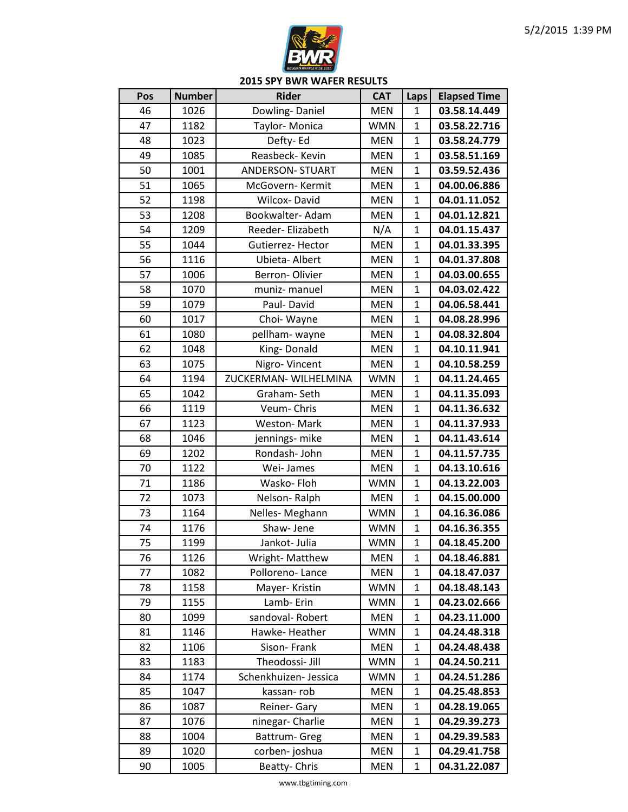

| Pos | <b>Number</b> | <b>Rider</b>            | <b>CAT</b> | Laps           | <b>Elapsed Time</b> |
|-----|---------------|-------------------------|------------|----------------|---------------------|
| 46  | 1026          | Dowling-Daniel          | <b>MEN</b> | 1              | 03.58.14.449        |
| 47  | 1182          | Taylor-Monica           | <b>WMN</b> | $\mathbf{1}$   | 03.58.22.716        |
| 48  | 1023          | Defty-Ed                | <b>MEN</b> | 1              | 03.58.24.779        |
| 49  | 1085          | Reasbeck- Kevin         | <b>MEN</b> | $\mathbf{1}$   | 03.58.51.169        |
| 50  | 1001          | <b>ANDERSON- STUART</b> | <b>MEN</b> | $\mathbf 1$    | 03.59.52.436        |
| 51  | 1065          | McGovern- Kermit        | <b>MEN</b> | 1              | 04.00.06.886        |
| 52  | 1198          | <b>Wilcox-David</b>     | <b>MEN</b> | $\mathbf 1$    | 04.01.11.052        |
| 53  | 1208          | Bookwalter-Adam         | <b>MEN</b> | $\mathbf 1$    | 04.01.12.821        |
| 54  | 1209          | Reeder-Elizabeth        | N/A        | $\mathbf 1$    | 04.01.15.437        |
| 55  | 1044          | Gutierrez-Hector        | <b>MEN</b> | 1              | 04.01.33.395        |
| 56  | 1116          | Ubieta- Albert          | <b>MEN</b> | $\mathbf 1$    | 04.01.37.808        |
| 57  | 1006          | Berron-Olivier          | <b>MEN</b> | $\mathbf 1$    | 04.03.00.655        |
| 58  | 1070          | muniz- manuel           | <b>MEN</b> | $\mathbf 1$    | 04.03.02.422        |
| 59  | 1079          | Paul-David              | <b>MEN</b> | $\overline{1}$ | 04.06.58.441        |
| 60  | 1017          | Choi-Wayne              | <b>MEN</b> | 1              | 04.08.28.996        |
| 61  | 1080          | pellham-wayne           | <b>MEN</b> | $\mathbf{1}$   | 04.08.32.804        |
| 62  | 1048          | King-Donald             | <b>MEN</b> | $\mathbf{1}$   | 04.10.11.941        |
| 63  | 1075          | Nigro-Vincent           | <b>MEN</b> | $\mathbf{1}$   | 04.10.58.259        |
| 64  | 1194          | ZUCKERMAN- WILHELMINA   | <b>WMN</b> | $\mathbf 1$    | 04.11.24.465        |
| 65  | 1042          | Graham-Seth             | <b>MEN</b> | $\mathbf{1}$   | 04.11.35.093        |
| 66  | 1119          | Veum-Chris              | <b>MEN</b> | $\mathbf{1}$   | 04.11.36.632        |
| 67  | 1123          | <b>Weston-Mark</b>      | <b>MEN</b> | $\mathbf 1$    | 04.11.37.933        |
| 68  | 1046          | jennings- mike          | <b>MEN</b> | $\mathbf{1}$   | 04.11.43.614        |
| 69  | 1202          | Rondash-John            | <b>MEN</b> | $\mathbf{1}$   | 04.11.57.735        |
| 70  | 1122          | Wei-James               | <b>MEN</b> | $\mathbf 1$    | 04.13.10.616        |
| 71  | 1186          | Wasko-Floh              | <b>WMN</b> | $\mathbf{1}$   | 04.13.22.003        |
| 72  | 1073          | Nelson-Ralph            | <b>MEN</b> | $\mathbf 1$    | 04.15.00.000        |
| 73  | 1164          | Nelles-Meghann          | <b>WMN</b> | $\mathbf 1$    | 04.16.36.086        |
| 74  | 1176          | Shaw-Jene               | <b>WMN</b> | 1              | 04.16.36.355        |
| 75  | 1199          | Jankot- Julia           | <b>WMN</b> | $\mathbf{1}$   | 04.18.45.200        |
| 76  | 1126          | Wright-Matthew          | <b>MEN</b> | 1              | 04.18.46.881        |
| 77  | 1082          | Polloreno-Lance         | <b>MEN</b> | 1              | 04.18.47.037        |
| 78  | 1158          | Mayer-Kristin           | <b>WMN</b> | $\mathbf 1$    | 04.18.48.143        |
| 79  | 1155          | Lamb-Erin               | <b>WMN</b> | 1              | 04.23.02.666        |
| 80  | 1099          | sandoval-Robert         | <b>MEN</b> | 1              | 04.23.11.000        |
| 81  | 1146          | Hawke-Heather           | <b>WMN</b> | 1              | 04.24.48.318        |
| 82  | 1106          | Sison-Frank             | <b>MEN</b> | 1              | 04.24.48.438        |
| 83  | 1183          | Theodossi- Jill         | <b>WMN</b> | 1              | 04.24.50.211        |
| 84  | 1174          | Schenkhuizen- Jessica   | <b>WMN</b> | 1              | 04.24.51.286        |
| 85  | 1047          | kassan-rob              | <b>MEN</b> | 1              | 04.25.48.853        |
| 86  | 1087          | Reiner-Gary             | <b>MEN</b> | 1              | 04.28.19.065        |
| 87  | 1076          | ninegar- Charlie        | <b>MEN</b> | 1              | 04.29.39.273        |
| 88  | 1004          | Battrum- Greg           | <b>MEN</b> | 1              | 04.29.39.583        |
| 89  | 1020          | corben-joshua           | <b>MEN</b> | 1              | 04.29.41.758        |
| 90  | 1005          | Beatty-Chris            | <b>MEN</b> | $\mathbf 1$    | 04.31.22.087        |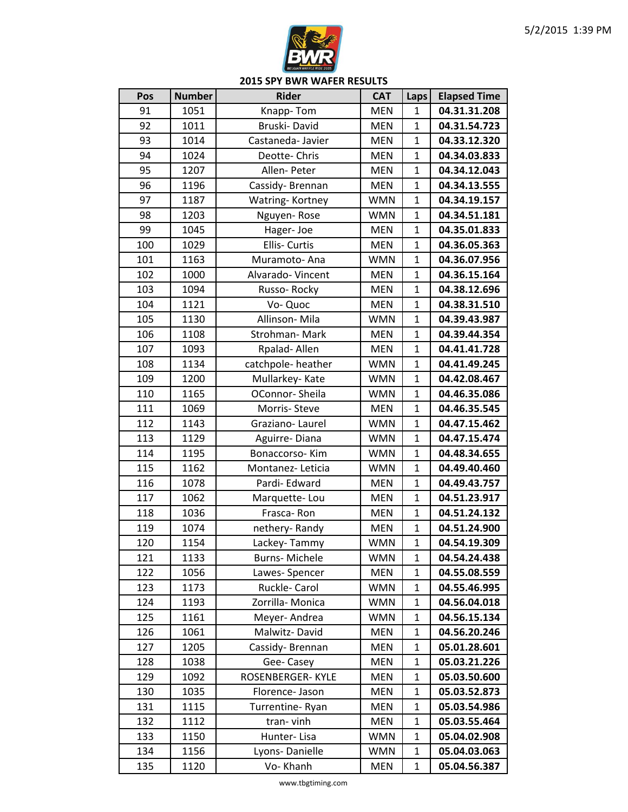

| 91<br>1051<br>Knapp-Tom<br><b>MEN</b><br>1<br>92<br>Bruski-David<br>$\mathbf{1}$<br>1011<br><b>MEN</b><br>93<br>1014<br>Castaneda- Javier<br><b>MEN</b><br>1<br>94<br>1024<br>Deotte-Chris<br><b>MEN</b><br>$\mathbf{1}$<br>95<br>Allen-Peter<br>$\mathbf{1}$<br>1207<br><b>MEN</b><br>96<br>1196<br>Cassidy-Brennan<br><b>MEN</b><br>1<br>$\mathbf{1}$<br>97<br>1187<br>Watring-Kortney<br><b>WMN</b><br>98<br>1203<br>Nguyen-Rose<br><b>WMN</b><br>$\mathbf{1}$<br>99<br>1045<br>$\mathbf{1}$<br>Hager-Joe<br><b>MEN</b><br>100<br>1029<br>Ellis- Curtis<br><b>MEN</b><br>$\mathbf{1}$ | 04.31.31.208<br>04.31.54.723<br>04.33.12.320<br>04.34.03.833<br>04.34.12.043<br>04.34.13.555<br>04.34.19.157<br>04.34.51.181<br>04.35.01.833<br>04.36.05.363<br>04.36.07.956<br>04.36.15.164<br>04.38.12.696<br>04.38.31.510 |
|------------------------------------------------------------------------------------------------------------------------------------------------------------------------------------------------------------------------------------------------------------------------------------------------------------------------------------------------------------------------------------------------------------------------------------------------------------------------------------------------------------------------------------------------------------------------------------------|------------------------------------------------------------------------------------------------------------------------------------------------------------------------------------------------------------------------------|
|                                                                                                                                                                                                                                                                                                                                                                                                                                                                                                                                                                                          |                                                                                                                                                                                                                              |
|                                                                                                                                                                                                                                                                                                                                                                                                                                                                                                                                                                                          |                                                                                                                                                                                                                              |
|                                                                                                                                                                                                                                                                                                                                                                                                                                                                                                                                                                                          |                                                                                                                                                                                                                              |
|                                                                                                                                                                                                                                                                                                                                                                                                                                                                                                                                                                                          |                                                                                                                                                                                                                              |
|                                                                                                                                                                                                                                                                                                                                                                                                                                                                                                                                                                                          |                                                                                                                                                                                                                              |
|                                                                                                                                                                                                                                                                                                                                                                                                                                                                                                                                                                                          |                                                                                                                                                                                                                              |
|                                                                                                                                                                                                                                                                                                                                                                                                                                                                                                                                                                                          |                                                                                                                                                                                                                              |
|                                                                                                                                                                                                                                                                                                                                                                                                                                                                                                                                                                                          |                                                                                                                                                                                                                              |
|                                                                                                                                                                                                                                                                                                                                                                                                                                                                                                                                                                                          |                                                                                                                                                                                                                              |
|                                                                                                                                                                                                                                                                                                                                                                                                                                                                                                                                                                                          |                                                                                                                                                                                                                              |
| 101<br>1163<br>$\mathbf{1}$<br><b>WMN</b><br>Muramoto-Ana                                                                                                                                                                                                                                                                                                                                                                                                                                                                                                                                |                                                                                                                                                                                                                              |
| 102<br>1000<br>Alvarado-Vincent<br>$\mathbf{1}$<br><b>MEN</b>                                                                                                                                                                                                                                                                                                                                                                                                                                                                                                                            |                                                                                                                                                                                                                              |
| 103<br>1094<br><b>MEN</b><br>$\mathbf{1}$<br>Russo-Rocky                                                                                                                                                                                                                                                                                                                                                                                                                                                                                                                                 |                                                                                                                                                                                                                              |
| $\mathbf{1}$<br>104<br>1121<br>Vo-Quoc<br><b>MEN</b>                                                                                                                                                                                                                                                                                                                                                                                                                                                                                                                                     |                                                                                                                                                                                                                              |
| Allinson-Mila<br>105<br>1130<br><b>WMN</b><br>$\mathbf{1}$                                                                                                                                                                                                                                                                                                                                                                                                                                                                                                                               | 04.39.43.987                                                                                                                                                                                                                 |
| 106<br>1108<br>$\mathbf{1}$<br>Strohman-Mark<br><b>MEN</b>                                                                                                                                                                                                                                                                                                                                                                                                                                                                                                                               | 04.39.44.354                                                                                                                                                                                                                 |
| 107<br>1093<br>Rpalad-Allen<br>$\mathbf{1}$<br><b>MEN</b>                                                                                                                                                                                                                                                                                                                                                                                                                                                                                                                                | 04.41.41.728                                                                                                                                                                                                                 |
| 108<br>1134<br>catchpole-heather<br><b>WMN</b><br>$\mathbf{1}$                                                                                                                                                                                                                                                                                                                                                                                                                                                                                                                           | 04.41.49.245                                                                                                                                                                                                                 |
| $\mathbf{1}$<br>109<br>1200<br>Mullarkey-Kate<br><b>WMN</b>                                                                                                                                                                                                                                                                                                                                                                                                                                                                                                                              | 04.42.08.467                                                                                                                                                                                                                 |
| 110<br>1165<br>$\mathbf{1}$<br>OConnor-Sheila<br><b>WMN</b>                                                                                                                                                                                                                                                                                                                                                                                                                                                                                                                              | 04.46.35.086                                                                                                                                                                                                                 |
| 111<br>1069<br>$\mathbf{1}$<br>Morris-Steve<br><b>MEN</b>                                                                                                                                                                                                                                                                                                                                                                                                                                                                                                                                | 04.46.35.545                                                                                                                                                                                                                 |
| 112<br>1143<br>$\mathbf 1$<br>Graziano-Laurel<br><b>WMN</b>                                                                                                                                                                                                                                                                                                                                                                                                                                                                                                                              | 04.47.15.462                                                                                                                                                                                                                 |
| 113<br>1129<br><b>WMN</b><br>$\mathbf{1}$<br>Aguirre-Diana                                                                                                                                                                                                                                                                                                                                                                                                                                                                                                                               | 04.47.15.474                                                                                                                                                                                                                 |
| $\mathbf{1}$<br>114<br>1195<br>Bonaccorso-Kim<br><b>WMN</b>                                                                                                                                                                                                                                                                                                                                                                                                                                                                                                                              | 04.48.34.655                                                                                                                                                                                                                 |
| 115<br>1162<br><b>WMN</b><br>$\mathbf{1}$<br>Montanez-Leticia                                                                                                                                                                                                                                                                                                                                                                                                                                                                                                                            | 04.49.40.460                                                                                                                                                                                                                 |
| 116<br>$\mathbf{1}$<br>1078<br>Pardi- Edward<br><b>MEN</b>                                                                                                                                                                                                                                                                                                                                                                                                                                                                                                                               | 04.49.43.757                                                                                                                                                                                                                 |
| 117<br>1062<br><b>MEN</b><br>$\mathbf{1}$<br>Marquette-Lou                                                                                                                                                                                                                                                                                                                                                                                                                                                                                                                               | 04.51.23.917                                                                                                                                                                                                                 |
| 118<br>1036<br>Frasca-Ron<br>$\mathbf 1$<br><b>MEN</b>                                                                                                                                                                                                                                                                                                                                                                                                                                                                                                                                   | 04.51.24.132                                                                                                                                                                                                                 |
| 119<br>1074<br>nethery-Randy<br><b>MEN</b><br>$\mathbf{1}$                                                                                                                                                                                                                                                                                                                                                                                                                                                                                                                               | 04.51.24.900                                                                                                                                                                                                                 |
| $\mathbf{1}$<br>120<br>1154<br>Lackey-Tammy<br><b>WMN</b>                                                                                                                                                                                                                                                                                                                                                                                                                                                                                                                                | 04.54.19.309                                                                                                                                                                                                                 |
| 1133<br>121<br><b>Burns-Michele</b><br><b>WMN</b><br>1                                                                                                                                                                                                                                                                                                                                                                                                                                                                                                                                   | 04.54.24.438                                                                                                                                                                                                                 |
| 122<br>1056<br>Lawes-Spencer<br><b>MEN</b><br>1                                                                                                                                                                                                                                                                                                                                                                                                                                                                                                                                          | 04.55.08.559                                                                                                                                                                                                                 |
| Ruckle-Carol<br>$\mathbf 1$<br>123<br>1173<br><b>WMN</b>                                                                                                                                                                                                                                                                                                                                                                                                                                                                                                                                 | 04.55.46.995                                                                                                                                                                                                                 |
| 124<br>1193<br>Zorrilla-Monica<br><b>WMN</b><br>1                                                                                                                                                                                                                                                                                                                                                                                                                                                                                                                                        | 04.56.04.018                                                                                                                                                                                                                 |
| 125<br>1161<br>Meyer-Andrea<br><b>WMN</b><br>1                                                                                                                                                                                                                                                                                                                                                                                                                                                                                                                                           | 04.56.15.134                                                                                                                                                                                                                 |
| 1061<br>126<br>Malwitz-David<br><b>MEN</b><br>1                                                                                                                                                                                                                                                                                                                                                                                                                                                                                                                                          | 04.56.20.246                                                                                                                                                                                                                 |
| 127<br>1205<br><b>MEN</b><br>Cassidy-Brennan<br>1                                                                                                                                                                                                                                                                                                                                                                                                                                                                                                                                        | 05.01.28.601                                                                                                                                                                                                                 |
| <b>MEN</b><br>1<br>128<br>1038<br>Gee-Casey                                                                                                                                                                                                                                                                                                                                                                                                                                                                                                                                              | 05.03.21.226                                                                                                                                                                                                                 |
| 1092<br>129<br>ROSENBERGER-KYLE<br><b>MEN</b><br>1                                                                                                                                                                                                                                                                                                                                                                                                                                                                                                                                       | 05.03.50.600                                                                                                                                                                                                                 |
| 130<br>1035<br>Florence-Jason<br>1<br><b>MEN</b>                                                                                                                                                                                                                                                                                                                                                                                                                                                                                                                                         | 05.03.52.873                                                                                                                                                                                                                 |
| 1115<br>Turrentine-Ryan<br><b>MEN</b><br>131<br>1                                                                                                                                                                                                                                                                                                                                                                                                                                                                                                                                        | 05.03.54.986                                                                                                                                                                                                                 |
| 1112<br>132<br>tran-vinh<br>$\mathbf{1}$<br><b>MEN</b>                                                                                                                                                                                                                                                                                                                                                                                                                                                                                                                                   | 05.03.55.464                                                                                                                                                                                                                 |
| 133<br>1150<br>Hunter-Lisa<br><b>WMN</b><br>1                                                                                                                                                                                                                                                                                                                                                                                                                                                                                                                                            | 05.04.02.908                                                                                                                                                                                                                 |
| 134<br>1156<br>Lyons-Danielle<br><b>WMN</b><br>1                                                                                                                                                                                                                                                                                                                                                                                                                                                                                                                                         | 05.04.03.063                                                                                                                                                                                                                 |
| $\mathbf 1$<br>135<br>1120<br>Vo-Khanh<br>05.04.56.387<br><b>MEN</b>                                                                                                                                                                                                                                                                                                                                                                                                                                                                                                                     |                                                                                                                                                                                                                              |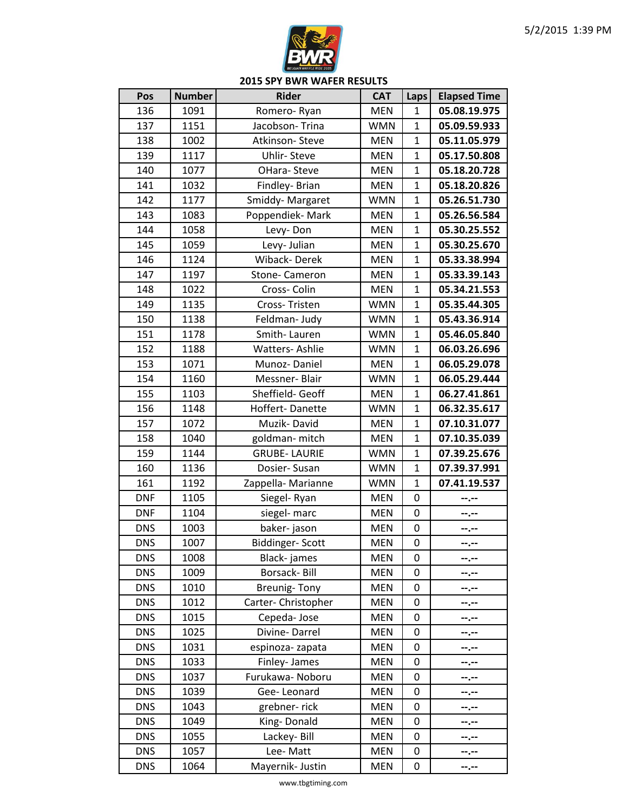

| 136<br>1091<br><b>MEN</b><br>05.08.19.975<br>Romero-Ryan<br>1<br>137<br>1151<br>Jacobson-Trina<br><b>WMN</b><br>$\mathbf{1}$<br>05.09.59.933<br>1002<br>138<br><b>MEN</b><br>05.11.05.979<br>Atkinson-Steve<br>1<br>139<br>1117<br><b>Uhlir-Steve</b><br><b>MEN</b><br>$\mathbf{1}$<br>05.17.50.808<br>140<br>1077<br>$\mathbf{1}$<br>05.18.20.728<br>OHara-Steve<br><b>MEN</b><br>141<br>1032<br>Findley- Brian<br><b>MEN</b><br>$\mathbf{1}$<br>05.18.20.826<br>$\mathbf{1}$<br>142<br>Smiddy-Margaret<br>05.26.51.730<br>1177<br><b>WMN</b><br>Poppendiek-Mark<br>143<br>1083<br><b>MEN</b><br>05.26.56.584<br>$\mathbf{1}$<br>144<br>1058<br>$\mathbf{1}$<br>05.30.25.552<br>Levy-Don<br><b>MEN</b><br>145<br>1059<br>Levy- Julian<br><b>MEN</b><br>$\mathbf{1}$<br>05.30.25.670<br>146<br>1124<br>Wiback-Derek<br><b>MEN</b><br>$\mathbf{1}$<br>05.33.38.994<br>147<br>1197<br>$\mathbf{1}$<br>Stone- Cameron<br><b>MEN</b><br>05.33.39.143<br>148<br>1022<br>Cross-Colin<br><b>MEN</b><br>$\mathbf{1}$<br>05.34.21.553<br>$\mathbf{1}$<br>149<br>1135<br>Cross-Tristen<br><b>WMN</b><br>05.35.44.305<br>150<br>1138<br>Feldman- Judy<br><b>WMN</b><br>$\mathbf{1}$<br>05.43.36.914<br>151<br>1178<br>Smith-Lauren<br><b>WMN</b><br>$\mathbf{1}$<br>05.46.05.840<br>152<br>1188<br><b>WMN</b><br>$\mathbf{1}$<br>06.03.26.696<br><b>Watters-Ashlie</b><br>153<br>1071<br>06.05.29.078<br>Munoz-Daniel<br><b>MEN</b><br>$\mathbf{1}$<br>154<br>$\mathbf{1}$<br>1160<br>Messner-Blair<br><b>WMN</b><br>06.05.29.444<br>155<br>1103<br>Sheffield- Geoff<br><b>MEN</b><br>$\mathbf{1}$<br>06.27.41.861<br>156<br>Hoffert-Danette<br>$\mathbf{1}$<br>1148<br><b>WMN</b><br>06.32.35.617<br>157<br>1072<br>Muzik-David<br><b>MEN</b><br>$\mathbf 1$<br>07.10.31.077<br>158<br>1040<br>07.10.35.039<br>goldman-mitch<br><b>MEN</b><br>$\mathbf{1}$<br>159<br><b>GRUBE-LAURIE</b><br>$\mathbf{1}$<br>1144<br><b>WMN</b><br>07.39.25.676<br>160<br>1136<br><b>WMN</b><br>$\mathbf{1}$<br>07.39.37.991<br>Dosier-Susan<br>161<br>1192<br><b>WMN</b><br>$\mathbf{1}$<br>07.41.19.537<br>Zappella- Marianne<br><b>DNF</b><br>1105<br><b>MEN</b><br>0<br>Siegel-Ryan<br>--.--<br><b>DNF</b><br>1104<br>siegel- marc<br>0<br><b>MEN</b><br>--.--<br>baker-jason<br><b>DNS</b><br>1003<br><b>MEN</b><br>0<br>--.--<br>$\boldsymbol{0}$<br><b>DNS</b><br>1007<br><b>Biddinger-Scott</b><br><b>MEN</b><br>$-1 - 1 - 1 = 0$<br><b>DNS</b><br>1008<br>Black-james<br><b>MEN</b><br>0<br>--.--<br>Borsack-Bill<br><b>DNS</b><br>1009<br><b>MEN</b><br>0<br>……<br><b>DNS</b><br>1010<br><b>Breunig-Tony</b><br><b>MEN</b><br>0<br>--.--<br>1012<br><b>DNS</b><br>Carter-Christopher<br><b>MEN</b><br>0<br>--.--<br>1015<br><b>DNS</b><br>Cepeda-Jose<br>0<br><b>MEN</b><br><b>DNS</b><br>1025<br>Divine-Darrel<br><b>MEN</b><br>0<br>--.--<br><b>DNS</b><br>1031<br><b>MEN</b><br>espinoza-zapata<br>0<br>┄.╌<br><b>DNS</b><br>1033<br>Finley- James<br><b>MEN</b><br>0<br>--.--<br><b>DNS</b><br>1037<br>Furukawa- Noboru<br><b>MEN</b><br>0<br>--.--<br><b>DNS</b><br>1039<br>Gee-Leonard<br><b>MEN</b><br>0<br><b>DNS</b><br>1043<br>grebner-rick<br><b>MEN</b><br>0<br>--.--<br><b>DNS</b><br>1049<br>King-Donald<br><b>MEN</b><br>0<br>--.--<br><b>DNS</b><br>1055<br>Lackey-Bill<br><b>MEN</b><br>0<br>--.--<br><b>DNS</b><br>1057<br>Lee-Matt<br><b>MEN</b><br>0<br><b>DNS</b><br>1064<br>Mayernik- Justin<br><b>MEN</b><br>0<br>--.-- | Pos | <b>Number</b> | <b>Rider</b> | <b>CAT</b> | Laps | <b>Elapsed Time</b> |
|-------------------------------------------------------------------------------------------------------------------------------------------------------------------------------------------------------------------------------------------------------------------------------------------------------------------------------------------------------------------------------------------------------------------------------------------------------------------------------------------------------------------------------------------------------------------------------------------------------------------------------------------------------------------------------------------------------------------------------------------------------------------------------------------------------------------------------------------------------------------------------------------------------------------------------------------------------------------------------------------------------------------------------------------------------------------------------------------------------------------------------------------------------------------------------------------------------------------------------------------------------------------------------------------------------------------------------------------------------------------------------------------------------------------------------------------------------------------------------------------------------------------------------------------------------------------------------------------------------------------------------------------------------------------------------------------------------------------------------------------------------------------------------------------------------------------------------------------------------------------------------------------------------------------------------------------------------------------------------------------------------------------------------------------------------------------------------------------------------------------------------------------------------------------------------------------------------------------------------------------------------------------------------------------------------------------------------------------------------------------------------------------------------------------------------------------------------------------------------------------------------------------------------------------------------------------------------------------------------------------------------------------------------------------------------------------------------------------------------------------------------------------------------------------------------------------------------------------------------------------------------------------------------------------------------------------------------------------------------------------------------------------------------------------------------------------------------------------------------------------------------------------------------------------------------------------------------------------------------------------------------------------------------------------------------------------------------------------------------------------------------------------------------------------------------|-----|---------------|--------------|------------|------|---------------------|
|                                                                                                                                                                                                                                                                                                                                                                                                                                                                                                                                                                                                                                                                                                                                                                                                                                                                                                                                                                                                                                                                                                                                                                                                                                                                                                                                                                                                                                                                                                                                                                                                                                                                                                                                                                                                                                                                                                                                                                                                                                                                                                                                                                                                                                                                                                                                                                                                                                                                                                                                                                                                                                                                                                                                                                                                                                                                                                                                                                                                                                                                                                                                                                                                                                                                                                                                                                                                                               |     |               |              |            |      |                     |
|                                                                                                                                                                                                                                                                                                                                                                                                                                                                                                                                                                                                                                                                                                                                                                                                                                                                                                                                                                                                                                                                                                                                                                                                                                                                                                                                                                                                                                                                                                                                                                                                                                                                                                                                                                                                                                                                                                                                                                                                                                                                                                                                                                                                                                                                                                                                                                                                                                                                                                                                                                                                                                                                                                                                                                                                                                                                                                                                                                                                                                                                                                                                                                                                                                                                                                                                                                                                                               |     |               |              |            |      |                     |
|                                                                                                                                                                                                                                                                                                                                                                                                                                                                                                                                                                                                                                                                                                                                                                                                                                                                                                                                                                                                                                                                                                                                                                                                                                                                                                                                                                                                                                                                                                                                                                                                                                                                                                                                                                                                                                                                                                                                                                                                                                                                                                                                                                                                                                                                                                                                                                                                                                                                                                                                                                                                                                                                                                                                                                                                                                                                                                                                                                                                                                                                                                                                                                                                                                                                                                                                                                                                                               |     |               |              |            |      |                     |
|                                                                                                                                                                                                                                                                                                                                                                                                                                                                                                                                                                                                                                                                                                                                                                                                                                                                                                                                                                                                                                                                                                                                                                                                                                                                                                                                                                                                                                                                                                                                                                                                                                                                                                                                                                                                                                                                                                                                                                                                                                                                                                                                                                                                                                                                                                                                                                                                                                                                                                                                                                                                                                                                                                                                                                                                                                                                                                                                                                                                                                                                                                                                                                                                                                                                                                                                                                                                                               |     |               |              |            |      |                     |
|                                                                                                                                                                                                                                                                                                                                                                                                                                                                                                                                                                                                                                                                                                                                                                                                                                                                                                                                                                                                                                                                                                                                                                                                                                                                                                                                                                                                                                                                                                                                                                                                                                                                                                                                                                                                                                                                                                                                                                                                                                                                                                                                                                                                                                                                                                                                                                                                                                                                                                                                                                                                                                                                                                                                                                                                                                                                                                                                                                                                                                                                                                                                                                                                                                                                                                                                                                                                                               |     |               |              |            |      |                     |
|                                                                                                                                                                                                                                                                                                                                                                                                                                                                                                                                                                                                                                                                                                                                                                                                                                                                                                                                                                                                                                                                                                                                                                                                                                                                                                                                                                                                                                                                                                                                                                                                                                                                                                                                                                                                                                                                                                                                                                                                                                                                                                                                                                                                                                                                                                                                                                                                                                                                                                                                                                                                                                                                                                                                                                                                                                                                                                                                                                                                                                                                                                                                                                                                                                                                                                                                                                                                                               |     |               |              |            |      |                     |
|                                                                                                                                                                                                                                                                                                                                                                                                                                                                                                                                                                                                                                                                                                                                                                                                                                                                                                                                                                                                                                                                                                                                                                                                                                                                                                                                                                                                                                                                                                                                                                                                                                                                                                                                                                                                                                                                                                                                                                                                                                                                                                                                                                                                                                                                                                                                                                                                                                                                                                                                                                                                                                                                                                                                                                                                                                                                                                                                                                                                                                                                                                                                                                                                                                                                                                                                                                                                                               |     |               |              |            |      |                     |
|                                                                                                                                                                                                                                                                                                                                                                                                                                                                                                                                                                                                                                                                                                                                                                                                                                                                                                                                                                                                                                                                                                                                                                                                                                                                                                                                                                                                                                                                                                                                                                                                                                                                                                                                                                                                                                                                                                                                                                                                                                                                                                                                                                                                                                                                                                                                                                                                                                                                                                                                                                                                                                                                                                                                                                                                                                                                                                                                                                                                                                                                                                                                                                                                                                                                                                                                                                                                                               |     |               |              |            |      |                     |
|                                                                                                                                                                                                                                                                                                                                                                                                                                                                                                                                                                                                                                                                                                                                                                                                                                                                                                                                                                                                                                                                                                                                                                                                                                                                                                                                                                                                                                                                                                                                                                                                                                                                                                                                                                                                                                                                                                                                                                                                                                                                                                                                                                                                                                                                                                                                                                                                                                                                                                                                                                                                                                                                                                                                                                                                                                                                                                                                                                                                                                                                                                                                                                                                                                                                                                                                                                                                                               |     |               |              |            |      |                     |
|                                                                                                                                                                                                                                                                                                                                                                                                                                                                                                                                                                                                                                                                                                                                                                                                                                                                                                                                                                                                                                                                                                                                                                                                                                                                                                                                                                                                                                                                                                                                                                                                                                                                                                                                                                                                                                                                                                                                                                                                                                                                                                                                                                                                                                                                                                                                                                                                                                                                                                                                                                                                                                                                                                                                                                                                                                                                                                                                                                                                                                                                                                                                                                                                                                                                                                                                                                                                                               |     |               |              |            |      |                     |
|                                                                                                                                                                                                                                                                                                                                                                                                                                                                                                                                                                                                                                                                                                                                                                                                                                                                                                                                                                                                                                                                                                                                                                                                                                                                                                                                                                                                                                                                                                                                                                                                                                                                                                                                                                                                                                                                                                                                                                                                                                                                                                                                                                                                                                                                                                                                                                                                                                                                                                                                                                                                                                                                                                                                                                                                                                                                                                                                                                                                                                                                                                                                                                                                                                                                                                                                                                                                                               |     |               |              |            |      |                     |
|                                                                                                                                                                                                                                                                                                                                                                                                                                                                                                                                                                                                                                                                                                                                                                                                                                                                                                                                                                                                                                                                                                                                                                                                                                                                                                                                                                                                                                                                                                                                                                                                                                                                                                                                                                                                                                                                                                                                                                                                                                                                                                                                                                                                                                                                                                                                                                                                                                                                                                                                                                                                                                                                                                                                                                                                                                                                                                                                                                                                                                                                                                                                                                                                                                                                                                                                                                                                                               |     |               |              |            |      |                     |
|                                                                                                                                                                                                                                                                                                                                                                                                                                                                                                                                                                                                                                                                                                                                                                                                                                                                                                                                                                                                                                                                                                                                                                                                                                                                                                                                                                                                                                                                                                                                                                                                                                                                                                                                                                                                                                                                                                                                                                                                                                                                                                                                                                                                                                                                                                                                                                                                                                                                                                                                                                                                                                                                                                                                                                                                                                                                                                                                                                                                                                                                                                                                                                                                                                                                                                                                                                                                                               |     |               |              |            |      |                     |
|                                                                                                                                                                                                                                                                                                                                                                                                                                                                                                                                                                                                                                                                                                                                                                                                                                                                                                                                                                                                                                                                                                                                                                                                                                                                                                                                                                                                                                                                                                                                                                                                                                                                                                                                                                                                                                                                                                                                                                                                                                                                                                                                                                                                                                                                                                                                                                                                                                                                                                                                                                                                                                                                                                                                                                                                                                                                                                                                                                                                                                                                                                                                                                                                                                                                                                                                                                                                                               |     |               |              |            |      |                     |
|                                                                                                                                                                                                                                                                                                                                                                                                                                                                                                                                                                                                                                                                                                                                                                                                                                                                                                                                                                                                                                                                                                                                                                                                                                                                                                                                                                                                                                                                                                                                                                                                                                                                                                                                                                                                                                                                                                                                                                                                                                                                                                                                                                                                                                                                                                                                                                                                                                                                                                                                                                                                                                                                                                                                                                                                                                                                                                                                                                                                                                                                                                                                                                                                                                                                                                                                                                                                                               |     |               |              |            |      |                     |
|                                                                                                                                                                                                                                                                                                                                                                                                                                                                                                                                                                                                                                                                                                                                                                                                                                                                                                                                                                                                                                                                                                                                                                                                                                                                                                                                                                                                                                                                                                                                                                                                                                                                                                                                                                                                                                                                                                                                                                                                                                                                                                                                                                                                                                                                                                                                                                                                                                                                                                                                                                                                                                                                                                                                                                                                                                                                                                                                                                                                                                                                                                                                                                                                                                                                                                                                                                                                                               |     |               |              |            |      |                     |
|                                                                                                                                                                                                                                                                                                                                                                                                                                                                                                                                                                                                                                                                                                                                                                                                                                                                                                                                                                                                                                                                                                                                                                                                                                                                                                                                                                                                                                                                                                                                                                                                                                                                                                                                                                                                                                                                                                                                                                                                                                                                                                                                                                                                                                                                                                                                                                                                                                                                                                                                                                                                                                                                                                                                                                                                                                                                                                                                                                                                                                                                                                                                                                                                                                                                                                                                                                                                                               |     |               |              |            |      |                     |
|                                                                                                                                                                                                                                                                                                                                                                                                                                                                                                                                                                                                                                                                                                                                                                                                                                                                                                                                                                                                                                                                                                                                                                                                                                                                                                                                                                                                                                                                                                                                                                                                                                                                                                                                                                                                                                                                                                                                                                                                                                                                                                                                                                                                                                                                                                                                                                                                                                                                                                                                                                                                                                                                                                                                                                                                                                                                                                                                                                                                                                                                                                                                                                                                                                                                                                                                                                                                                               |     |               |              |            |      |                     |
|                                                                                                                                                                                                                                                                                                                                                                                                                                                                                                                                                                                                                                                                                                                                                                                                                                                                                                                                                                                                                                                                                                                                                                                                                                                                                                                                                                                                                                                                                                                                                                                                                                                                                                                                                                                                                                                                                                                                                                                                                                                                                                                                                                                                                                                                                                                                                                                                                                                                                                                                                                                                                                                                                                                                                                                                                                                                                                                                                                                                                                                                                                                                                                                                                                                                                                                                                                                                                               |     |               |              |            |      |                     |
|                                                                                                                                                                                                                                                                                                                                                                                                                                                                                                                                                                                                                                                                                                                                                                                                                                                                                                                                                                                                                                                                                                                                                                                                                                                                                                                                                                                                                                                                                                                                                                                                                                                                                                                                                                                                                                                                                                                                                                                                                                                                                                                                                                                                                                                                                                                                                                                                                                                                                                                                                                                                                                                                                                                                                                                                                                                                                                                                                                                                                                                                                                                                                                                                                                                                                                                                                                                                                               |     |               |              |            |      |                     |
|                                                                                                                                                                                                                                                                                                                                                                                                                                                                                                                                                                                                                                                                                                                                                                                                                                                                                                                                                                                                                                                                                                                                                                                                                                                                                                                                                                                                                                                                                                                                                                                                                                                                                                                                                                                                                                                                                                                                                                                                                                                                                                                                                                                                                                                                                                                                                                                                                                                                                                                                                                                                                                                                                                                                                                                                                                                                                                                                                                                                                                                                                                                                                                                                                                                                                                                                                                                                                               |     |               |              |            |      |                     |
|                                                                                                                                                                                                                                                                                                                                                                                                                                                                                                                                                                                                                                                                                                                                                                                                                                                                                                                                                                                                                                                                                                                                                                                                                                                                                                                                                                                                                                                                                                                                                                                                                                                                                                                                                                                                                                                                                                                                                                                                                                                                                                                                                                                                                                                                                                                                                                                                                                                                                                                                                                                                                                                                                                                                                                                                                                                                                                                                                                                                                                                                                                                                                                                                                                                                                                                                                                                                                               |     |               |              |            |      |                     |
|                                                                                                                                                                                                                                                                                                                                                                                                                                                                                                                                                                                                                                                                                                                                                                                                                                                                                                                                                                                                                                                                                                                                                                                                                                                                                                                                                                                                                                                                                                                                                                                                                                                                                                                                                                                                                                                                                                                                                                                                                                                                                                                                                                                                                                                                                                                                                                                                                                                                                                                                                                                                                                                                                                                                                                                                                                                                                                                                                                                                                                                                                                                                                                                                                                                                                                                                                                                                                               |     |               |              |            |      |                     |
|                                                                                                                                                                                                                                                                                                                                                                                                                                                                                                                                                                                                                                                                                                                                                                                                                                                                                                                                                                                                                                                                                                                                                                                                                                                                                                                                                                                                                                                                                                                                                                                                                                                                                                                                                                                                                                                                                                                                                                                                                                                                                                                                                                                                                                                                                                                                                                                                                                                                                                                                                                                                                                                                                                                                                                                                                                                                                                                                                                                                                                                                                                                                                                                                                                                                                                                                                                                                                               |     |               |              |            |      |                     |
|                                                                                                                                                                                                                                                                                                                                                                                                                                                                                                                                                                                                                                                                                                                                                                                                                                                                                                                                                                                                                                                                                                                                                                                                                                                                                                                                                                                                                                                                                                                                                                                                                                                                                                                                                                                                                                                                                                                                                                                                                                                                                                                                                                                                                                                                                                                                                                                                                                                                                                                                                                                                                                                                                                                                                                                                                                                                                                                                                                                                                                                                                                                                                                                                                                                                                                                                                                                                                               |     |               |              |            |      |                     |
|                                                                                                                                                                                                                                                                                                                                                                                                                                                                                                                                                                                                                                                                                                                                                                                                                                                                                                                                                                                                                                                                                                                                                                                                                                                                                                                                                                                                                                                                                                                                                                                                                                                                                                                                                                                                                                                                                                                                                                                                                                                                                                                                                                                                                                                                                                                                                                                                                                                                                                                                                                                                                                                                                                                                                                                                                                                                                                                                                                                                                                                                                                                                                                                                                                                                                                                                                                                                                               |     |               |              |            |      |                     |
|                                                                                                                                                                                                                                                                                                                                                                                                                                                                                                                                                                                                                                                                                                                                                                                                                                                                                                                                                                                                                                                                                                                                                                                                                                                                                                                                                                                                                                                                                                                                                                                                                                                                                                                                                                                                                                                                                                                                                                                                                                                                                                                                                                                                                                                                                                                                                                                                                                                                                                                                                                                                                                                                                                                                                                                                                                                                                                                                                                                                                                                                                                                                                                                                                                                                                                                                                                                                                               |     |               |              |            |      |                     |
|                                                                                                                                                                                                                                                                                                                                                                                                                                                                                                                                                                                                                                                                                                                                                                                                                                                                                                                                                                                                                                                                                                                                                                                                                                                                                                                                                                                                                                                                                                                                                                                                                                                                                                                                                                                                                                                                                                                                                                                                                                                                                                                                                                                                                                                                                                                                                                                                                                                                                                                                                                                                                                                                                                                                                                                                                                                                                                                                                                                                                                                                                                                                                                                                                                                                                                                                                                                                                               |     |               |              |            |      |                     |
|                                                                                                                                                                                                                                                                                                                                                                                                                                                                                                                                                                                                                                                                                                                                                                                                                                                                                                                                                                                                                                                                                                                                                                                                                                                                                                                                                                                                                                                                                                                                                                                                                                                                                                                                                                                                                                                                                                                                                                                                                                                                                                                                                                                                                                                                                                                                                                                                                                                                                                                                                                                                                                                                                                                                                                                                                                                                                                                                                                                                                                                                                                                                                                                                                                                                                                                                                                                                                               |     |               |              |            |      |                     |
|                                                                                                                                                                                                                                                                                                                                                                                                                                                                                                                                                                                                                                                                                                                                                                                                                                                                                                                                                                                                                                                                                                                                                                                                                                                                                                                                                                                                                                                                                                                                                                                                                                                                                                                                                                                                                                                                                                                                                                                                                                                                                                                                                                                                                                                                                                                                                                                                                                                                                                                                                                                                                                                                                                                                                                                                                                                                                                                                                                                                                                                                                                                                                                                                                                                                                                                                                                                                                               |     |               |              |            |      |                     |
|                                                                                                                                                                                                                                                                                                                                                                                                                                                                                                                                                                                                                                                                                                                                                                                                                                                                                                                                                                                                                                                                                                                                                                                                                                                                                                                                                                                                                                                                                                                                                                                                                                                                                                                                                                                                                                                                                                                                                                                                                                                                                                                                                                                                                                                                                                                                                                                                                                                                                                                                                                                                                                                                                                                                                                                                                                                                                                                                                                                                                                                                                                                                                                                                                                                                                                                                                                                                                               |     |               |              |            |      |                     |
|                                                                                                                                                                                                                                                                                                                                                                                                                                                                                                                                                                                                                                                                                                                                                                                                                                                                                                                                                                                                                                                                                                                                                                                                                                                                                                                                                                                                                                                                                                                                                                                                                                                                                                                                                                                                                                                                                                                                                                                                                                                                                                                                                                                                                                                                                                                                                                                                                                                                                                                                                                                                                                                                                                                                                                                                                                                                                                                                                                                                                                                                                                                                                                                                                                                                                                                                                                                                                               |     |               |              |            |      |                     |
|                                                                                                                                                                                                                                                                                                                                                                                                                                                                                                                                                                                                                                                                                                                                                                                                                                                                                                                                                                                                                                                                                                                                                                                                                                                                                                                                                                                                                                                                                                                                                                                                                                                                                                                                                                                                                                                                                                                                                                                                                                                                                                                                                                                                                                                                                                                                                                                                                                                                                                                                                                                                                                                                                                                                                                                                                                                                                                                                                                                                                                                                                                                                                                                                                                                                                                                                                                                                                               |     |               |              |            |      |                     |
|                                                                                                                                                                                                                                                                                                                                                                                                                                                                                                                                                                                                                                                                                                                                                                                                                                                                                                                                                                                                                                                                                                                                                                                                                                                                                                                                                                                                                                                                                                                                                                                                                                                                                                                                                                                                                                                                                                                                                                                                                                                                                                                                                                                                                                                                                                                                                                                                                                                                                                                                                                                                                                                                                                                                                                                                                                                                                                                                                                                                                                                                                                                                                                                                                                                                                                                                                                                                                               |     |               |              |            |      |                     |
|                                                                                                                                                                                                                                                                                                                                                                                                                                                                                                                                                                                                                                                                                                                                                                                                                                                                                                                                                                                                                                                                                                                                                                                                                                                                                                                                                                                                                                                                                                                                                                                                                                                                                                                                                                                                                                                                                                                                                                                                                                                                                                                                                                                                                                                                                                                                                                                                                                                                                                                                                                                                                                                                                                                                                                                                                                                                                                                                                                                                                                                                                                                                                                                                                                                                                                                                                                                                                               |     |               |              |            |      |                     |
|                                                                                                                                                                                                                                                                                                                                                                                                                                                                                                                                                                                                                                                                                                                                                                                                                                                                                                                                                                                                                                                                                                                                                                                                                                                                                                                                                                                                                                                                                                                                                                                                                                                                                                                                                                                                                                                                                                                                                                                                                                                                                                                                                                                                                                                                                                                                                                                                                                                                                                                                                                                                                                                                                                                                                                                                                                                                                                                                                                                                                                                                                                                                                                                                                                                                                                                                                                                                                               |     |               |              |            |      |                     |
|                                                                                                                                                                                                                                                                                                                                                                                                                                                                                                                                                                                                                                                                                                                                                                                                                                                                                                                                                                                                                                                                                                                                                                                                                                                                                                                                                                                                                                                                                                                                                                                                                                                                                                                                                                                                                                                                                                                                                                                                                                                                                                                                                                                                                                                                                                                                                                                                                                                                                                                                                                                                                                                                                                                                                                                                                                                                                                                                                                                                                                                                                                                                                                                                                                                                                                                                                                                                                               |     |               |              |            |      |                     |
|                                                                                                                                                                                                                                                                                                                                                                                                                                                                                                                                                                                                                                                                                                                                                                                                                                                                                                                                                                                                                                                                                                                                                                                                                                                                                                                                                                                                                                                                                                                                                                                                                                                                                                                                                                                                                                                                                                                                                                                                                                                                                                                                                                                                                                                                                                                                                                                                                                                                                                                                                                                                                                                                                                                                                                                                                                                                                                                                                                                                                                                                                                                                                                                                                                                                                                                                                                                                                               |     |               |              |            |      |                     |
|                                                                                                                                                                                                                                                                                                                                                                                                                                                                                                                                                                                                                                                                                                                                                                                                                                                                                                                                                                                                                                                                                                                                                                                                                                                                                                                                                                                                                                                                                                                                                                                                                                                                                                                                                                                                                                                                                                                                                                                                                                                                                                                                                                                                                                                                                                                                                                                                                                                                                                                                                                                                                                                                                                                                                                                                                                                                                                                                                                                                                                                                                                                                                                                                                                                                                                                                                                                                                               |     |               |              |            |      |                     |
|                                                                                                                                                                                                                                                                                                                                                                                                                                                                                                                                                                                                                                                                                                                                                                                                                                                                                                                                                                                                                                                                                                                                                                                                                                                                                                                                                                                                                                                                                                                                                                                                                                                                                                                                                                                                                                                                                                                                                                                                                                                                                                                                                                                                                                                                                                                                                                                                                                                                                                                                                                                                                                                                                                                                                                                                                                                                                                                                                                                                                                                                                                                                                                                                                                                                                                                                                                                                                               |     |               |              |            |      |                     |
|                                                                                                                                                                                                                                                                                                                                                                                                                                                                                                                                                                                                                                                                                                                                                                                                                                                                                                                                                                                                                                                                                                                                                                                                                                                                                                                                                                                                                                                                                                                                                                                                                                                                                                                                                                                                                                                                                                                                                                                                                                                                                                                                                                                                                                                                                                                                                                                                                                                                                                                                                                                                                                                                                                                                                                                                                                                                                                                                                                                                                                                                                                                                                                                                                                                                                                                                                                                                                               |     |               |              |            |      |                     |
|                                                                                                                                                                                                                                                                                                                                                                                                                                                                                                                                                                                                                                                                                                                                                                                                                                                                                                                                                                                                                                                                                                                                                                                                                                                                                                                                                                                                                                                                                                                                                                                                                                                                                                                                                                                                                                                                                                                                                                                                                                                                                                                                                                                                                                                                                                                                                                                                                                                                                                                                                                                                                                                                                                                                                                                                                                                                                                                                                                                                                                                                                                                                                                                                                                                                                                                                                                                                                               |     |               |              |            |      |                     |
|                                                                                                                                                                                                                                                                                                                                                                                                                                                                                                                                                                                                                                                                                                                                                                                                                                                                                                                                                                                                                                                                                                                                                                                                                                                                                                                                                                                                                                                                                                                                                                                                                                                                                                                                                                                                                                                                                                                                                                                                                                                                                                                                                                                                                                                                                                                                                                                                                                                                                                                                                                                                                                                                                                                                                                                                                                                                                                                                                                                                                                                                                                                                                                                                                                                                                                                                                                                                                               |     |               |              |            |      |                     |
|                                                                                                                                                                                                                                                                                                                                                                                                                                                                                                                                                                                                                                                                                                                                                                                                                                                                                                                                                                                                                                                                                                                                                                                                                                                                                                                                                                                                                                                                                                                                                                                                                                                                                                                                                                                                                                                                                                                                                                                                                                                                                                                                                                                                                                                                                                                                                                                                                                                                                                                                                                                                                                                                                                                                                                                                                                                                                                                                                                                                                                                                                                                                                                                                                                                                                                                                                                                                                               |     |               |              |            |      |                     |
|                                                                                                                                                                                                                                                                                                                                                                                                                                                                                                                                                                                                                                                                                                                                                                                                                                                                                                                                                                                                                                                                                                                                                                                                                                                                                                                                                                                                                                                                                                                                                                                                                                                                                                                                                                                                                                                                                                                                                                                                                                                                                                                                                                                                                                                                                                                                                                                                                                                                                                                                                                                                                                                                                                                                                                                                                                                                                                                                                                                                                                                                                                                                                                                                                                                                                                                                                                                                                               |     |               |              |            |      |                     |